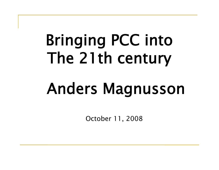# Bringing PCC into The 21th century

# Anders Magnusson

October 11, 2008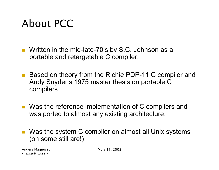### About PCC

- Written in the mid-late-70's by S.C. Johnson as a portable and retargetable C compiler.
- Based on theory from the Richie PDP-11 C compiler and Andy Snyder's 1975 master thesis on portable C compilers
- Was the reference implementation of C compilers and was ported to almost any existing architecture.
- **Nas the system C compiler on almost all Unix systems** (on some still are!)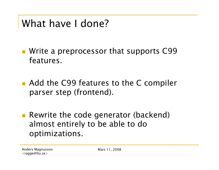#### What have I done?

**Write a preprocessor that supports C99** features.

■ Add the C99 features to the C compiler parser step (frontend).

■ Rewrite the code generator (backend) almost entirely to be able to do optimizations.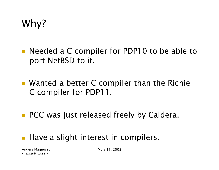Why?

- **Needed a C compiler for PDP10 to be able to** port NetBSD to it.
- Wanted a better C compiler than the Richie C compiler for PDP11.
- PCC was just released freely by Caldera.
- Have a slight interest in compilers.

Anders Magnusson <ragge@ltu.se>

Mars 11, 2008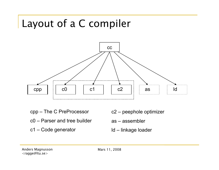### Layout of a C compiler



- cpp The C PreProcessor
- c0 Parser and tree builder
- c1 Code generator
- c2 peephole optimizer
- as assembler
- ld linkage loader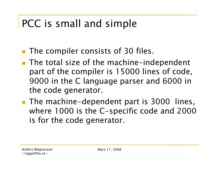### PCC is small and simple

- **The compiler consists of 30 files.**
- The total size of the machine-independent part of the compiler is 15000 lines of code, 9000 in the C language parser and 6000 in the code generator.
- **The machine-dependent part is 3000 lines,** where 1000 is the C-specific code and 2000 is for the code generator.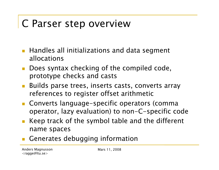#### C Parser step overview

- **Handles all initializations and data segment** allocations
- Does syntax checking of the compiled code, prototype checks and casts
- Builds parse trees, inserts casts, converts array references to register offset arithmetic
- Converts language-specific operators (comma operator, lazy evaluation) to non-C-specific code
- Keep track of the symbol table and the different name spaces
- Generates debugging information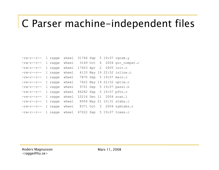#### C Parser machine-independent files

| $-rw$ -r--r--     |              | 1 raqqe |       |           |                 | wheel $31746$ Sep 5 19:07 cqram.y |
|-------------------|--------------|---------|-------|-----------|-----------------|-----------------------------------|
| $-rw-r--r--$      |              | 1 ragge | wheel | 3169 Oct  | $4\overline{4}$ | 2004 gcc compat.c                 |
| $-rw-rc-r--$      | ı.           | ragge   | wheel | 17603 Apr |                 | 2 2005 init.c                     |
| $-rw-r--r--$      | 1.           | ragge   | wheel |           |                 | 4133 May 19 22:52 inline.c        |
| $-rw-r--r--$      | $\perp$      | ragge   | wheel |           |                 | 7870 Sep 5 19:07 main.c           |
| $-rw-r-r-r$       |              | 1 ragge | wheel |           |                 | 7622 May 19 22:52 optim.c         |
| $-rw-r-r-r$       | 1            | ragge   | wheel |           |                 | 9701 Sep 5 19:07 pass1.h          |
| $-rw-r-r-r$       |              | 1 ragge | wheel |           |                 | 46282 Sep 5 19:07 pftn.c          |
| $-rw-rc-r--$      |              | 1 ragge | wheel |           |                 | 10216 Dec 11 2004 scan.1          |
| $-rw-r--r--$      |              | 1 ragge | wheel |           |                 | 8956 May 21 10:31 stabs.c         |
| $-rw-r--r--$      | 1            | ragge   | wheel |           |                 | 8371 Oct 3 2004 symtabs.c         |
| <u>-rw-r--r--</u> | $\mathbf{1}$ | raqqe   |       |           |                 | wheel $47022$ Sep 5 19:07 trees.c |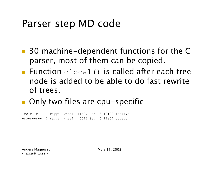#### Parser step MD code

- 30 machine-dependent functions for the C parser, most of them can be copied.
- **Function** clocal() is called after each tree node is added to be able to do fast rewrite of trees.
- Only two files are cpu-specific

-rw-r--r-- 1 ragge wheel 11487 Oct 3 18:08 local.c -rw-r--r-- 1 ragge wheel 5016 Sep 5 19:07 code.c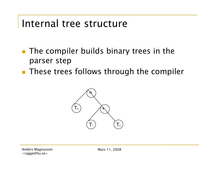#### Internal tree structure

- **The compiler builds binary trees in the** parser step
- **These trees follows through the compiler**

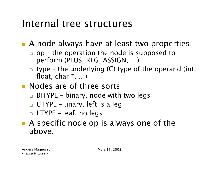#### Internal tree structures

**A** node always have at least two properties

- $\Box$  op the operation the node is supposed to perform (PLUS, REG, ASSIGN, …)
- $\Box$  type the underlying (C) type of the operand (int, float, char \*, …)
- **Nodes are of three sorts** 
	- **□ BITYPE binary, node with two legs**
	- UTYPE unary, left is a leg
	- LTYPE leaf, no legs
- **A** specific node op is always one of the above.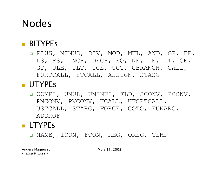### Nodes

#### **BITYPES**

 PLUS, MINUS, DIV, MOD, MUL, AND, OR, ER, LS, RS, INCR, DECR, EQ, NE, LE, LT, GE, GT, ULE, ULT, UGE, UGT, CBRANCH, CALL, FORTCALL, STCALL, ASSIGN, STASG

#### **UTYPES**

 COMPL, UMUL, UMINUS, FLD, SCONV, PCONV, PMCONV, PVCONV, UCALL, UFORTCALL, USTCALL, STARG, FORCE, GOTO, FUNARG, ADDROF

#### **LTYPES**

NAME, ICON, FCON, REG, OREG, TEMP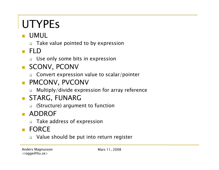## UTYPEs

#### **UMUL**

Take value pointed to by expression

FLD

**Use only some bits in expression** 

- **SCONV, PCONV** 
	- □ Convert expression value to scalar/pointer
- **PMCONV, PVCONV** 
	- **In Multiply/divide expression for array reference**
- **STARG, FUNARG** 
	- □ (Structure) argument to function
- **ADDROF** 
	- Take address of expression
- **FORCE** 
	- □ Value should be put into return register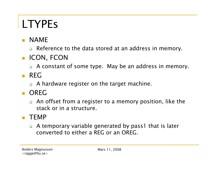### LTYPEs

- **NAME** 
	- □ Reference to the data stored at an address in memory.
- **ICON, FCON** 
	- □ A constant of some type. May be an address in memory.
- **REG** 
	- □ A hardware register on the target machine.
- **D** OREG
	- □ An offset from a register to a memory position, like the stack or in a structure.

#### $\blacksquare$  TEMP

 A temporary variable generated by pass1 that is later converted to either a REG or an OREG.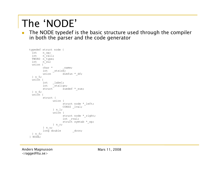### The 'NODE'

■ The NODE typedef is the basic structure used through the compiler in both the parser and the code generator

```
typedef struct node { 
 int n_op; 
 int n_rall;
 TWORD n_type; 
 int n_su; 
 union { 
       char * mame;
       int _stsize; 
       union dimfun * df;
 } n_5; 
 union \{int label;
       int _stalign;
       struct suedef * sue;
 } n_6; 
 union { 
       struct { 
             union { 
                   struct node * left;
                   CONSZ lval;
             } n_l; 
             union { 
                   struct node * right;
                   int rval;
                   struct symtab * sp;
             } n_r; 
       } n_u; 
       long double dcon;
 } n_f; 
} NODE;
```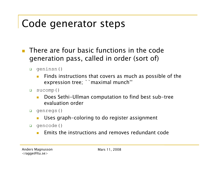### Code generator steps

- **There are four basic functions in the code** generation pass, called in order (sort of)
	- geninsn()
		- **Finds instructions that covers as much as possible of the** expression tree; ``maximal munch''
	- sucomp()
		- Does Sethi-Ullman computation to find best sub-tree evaluation order
	- genregs()
		- Uses graph-coloring to do register assignment
	- gencode()
		- Emits the instructions and removes redundant code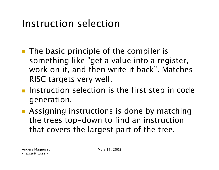#### Instruction selection

- **The basic principle of the compiler is** something like "get a value into a register, work on it, and then write it back". Matches RISC targets very well.
- **Instruction selection is the first step in code** generation.
- **Assigning instructions is done by matching** the trees top-down to find an instruction that covers the largest part of the tree.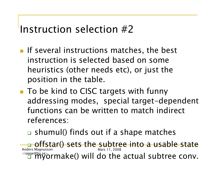#### Instruction selection #2

- **If several instructions matches, the best** instruction is selected based on some heuristics (other needs etc), or just the position in the table.
- To be kind to CISC targets with funny addressing modes, special target-dependent functions can be written to match indirect references:
	- **□** shumul() finds out if a shape matches

Anders Magnusson <ragge@ltu.se> Mars 11, 2008 offstar() sets the subtree into a usable state  $\delta$ ormake() will do the actual subtree conv.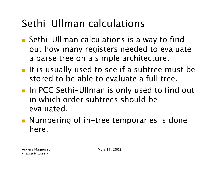### Sethi-Ullman calculations

- Sethi-Ullman calculations is a way to find out how many registers needed to evaluate a parse tree on a simple architecture.
- **If is usually used to see if a subtree must be** stored to be able to evaluate a full tree.
- **IF In PCC Sethi-Ullman is only used to find out** in which order subtrees should be evaluated.
- Numbering of in-tree temporaries is done here.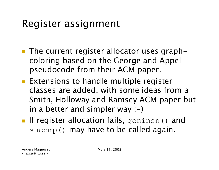#### Register assignment

- **The current register allocator uses graph**coloring based on the George and Appel pseudocode from their ACM paper.
- **Extensions to handle multiple register** classes are added, with some ideas from a Smith, Holloway and Ramsey ACM paper but in a better and simpler way  $:-)$
- If register allocation fails, geninsn() and sucomp() may have to be called again.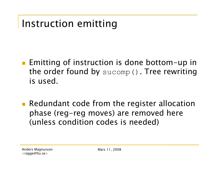#### Instruction emitting

- **Emitting of instruction is done bottom-up in** the order found by sucomp(). Tree rewriting is used.
- **Redundant code from the register allocation** phase (reg-reg moves) are removed here (unless condition codes is needed)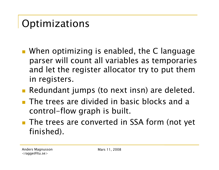### Optimizations

- **When optimizing is enabled, the C language** parser will count all variables as temporaries and let the register allocator try to put them in registers.
- Redundant jumps (to next insn) are deleted.
- **The trees are divided in basic blocks and a** control-flow graph is built.
- The trees are converted in SSA form (not yet finished).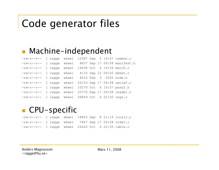### Code generator files

#### **Machine-independent**

| $-\text{rw}-\text{r}-\text{r}-$                     |  |                                      |  |  | 1 ragge wheel 12587 Sep 5 19:07 common.c   |
|-----------------------------------------------------|--|--------------------------------------|--|--|--------------------------------------------|
| $-\text{rw}-\text{r}-\text{r}-$                     |  |                                      |  |  | 1 ragge wheel 8837 Sep 17 09:58 manifest.h |
| $-\texttt{rw}-\texttt{r}-\texttt{r}-$               |  | 1 ragge wheel                        |  |  | 19438 Oct 6 19:56 match.c                  |
| $-rw-r-r--$                                         |  |                                      |  |  | 1 ragge wheel 4133 Sep 12 09:02 mkext.c    |
| $-\texttt{rw}-\texttt{r}-\texttt{r}-$               |  | 1 ragge wheel 4016 Feb 5 2005 node.h |  |  |                                            |
| $-\texttt{rw}-\texttt{r}-\texttt{-r}-$              |  |                                      |  |  | 1 ragge wheel 20153 Sep 17 09:58 optim2.c  |
| $-rw-r-r--$                                         |  |                                      |  |  | 1 ragge wheel 10270 Oct 6 19:57 pass2.h    |
| $-rw-r-r--$                                         |  |                                      |  |  | 1 ragge wheel 25770 Sep 17 09:58 reader.c  |
| $-rw-r--r--$ 1 ragge wheel 36859 Oct 6 22:50 regs.c |  |                                      |  |  |                                            |

#### **CPU-specific**

-rw-r--r-- 1 ragge wheel 18825 Sep 8 21:19 local2.c -rw-r--r-- 1 ragge wheel 7847 Sep 17 09:58 order.c -rw-r--r-- 1 ragge wheel 24420 Oct 6 22:50 table.c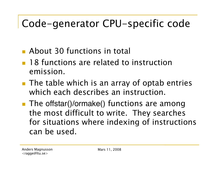### Code-generator CPU-specific code

- **About 30 functions in total**
- **18 functions are related to instruction** emission.
- **The table which is an array of optab entries** which each describes an instruction.
- The offstar()/ormake() functions are among the most difficult to write. They searches for situations where indexing of instructions can be used.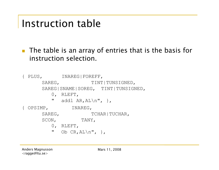#### Instruction table

■ The table is an array of entries that is the basis for instruction selection.

{ PLUS, INAREG|FOREFF, SAREG, TINT|TUNSIGNED, SAREG|SNAME|SOREG, TINT|TUNSIGNED, 0, RLEFT, " addl AR,  $AL\n\| \n\|$ , { OPSIMP, INAREG, SAREG, TCHAR|TUCHAR, SCON, TANY, 0, RLEFT, " Ob  $CR, AL\n", \}$ ,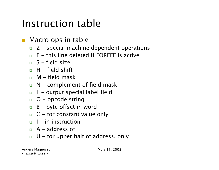#### Instruction table

- **Nacro ops in table** 
	- $\Box$  Z special machine dependent operations
	- $\Box$  F this line deleted if FOREFF is active
	- $S$  field size
	- $\Box$  H field shift
	- $\Box$  M field mask
	- $\Box$  N complement of field mask
	- $\Box$  L output special label field
	- $\Box$  O opcode string
	- $B byte offset in word$
	- $\Box$  C for constant value only
	- $\Box$  I in instruction
	- $\Box$  A address of
	- $\Box$  U for upper half of address, only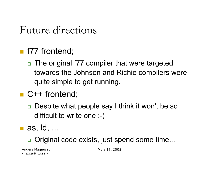#### Future directions

#### **f77** frontend;

- □ The original f77 compiler that were targeted towards the Johnson and Richie compilers were quite simple to get running.
- C++ frontend;
	- □ Despite what people say I think it won't be so difficult to write one :-)
- as, ld, ...

**□** Original code exists, just spend some time...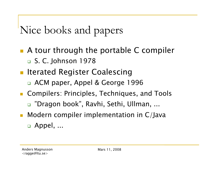### Nice books and papers

- A tour through the portable C compiler □ S. C. Johnson 1978
- **Iterated Register Coalescing** 
	- ACM paper, Appel & George 1996
- **Compilers: Principles, Techniques, and Tools** 
	- "Dragon book", Ravhi, Sethi, Ullman, ...
- **Modern compiler implementation in C/Java** □ Appel, ...